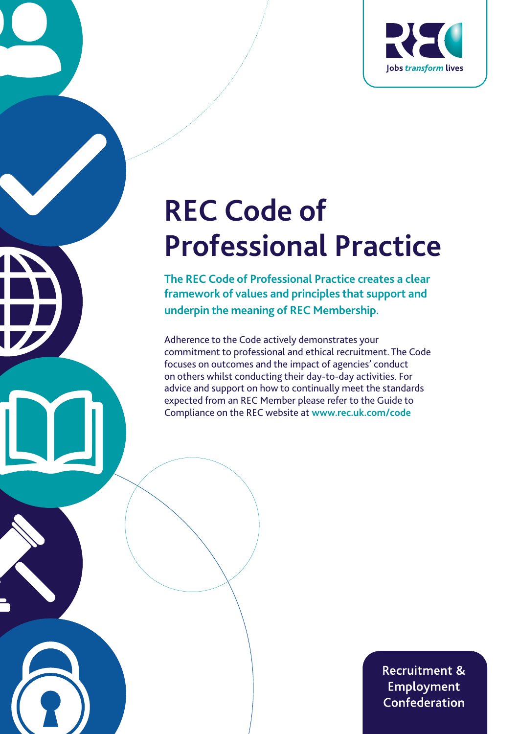

# **REC Code of Professional Practice**

**The REC Code of Professional Practice creates a clear framework of values and principles that support and underpin the meaning of REC Membership.**

Adherence to the Code actively demonstrates your commitment to professional and ethical recruitment. The Code focuses on outcomes and the impact of agencies' conduct on others whilst conducting their day-to-day activities. For advice and support on how to continually meet the standards expected from an REC Member please refer to the Guide to Compliance on the REC website at **www.rec.uk.com/code**

> **Recruitment & Employment** Confederation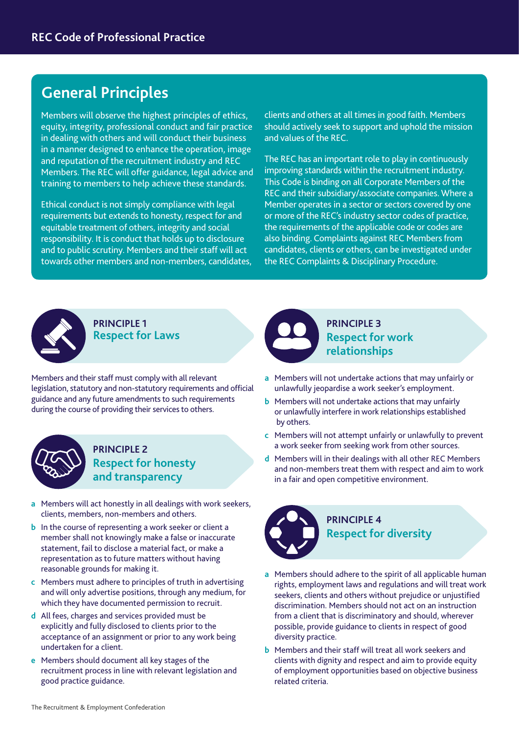# **General Principles**

Members will observe the highest principles of ethics, equity, integrity, professional conduct and fair practice in dealing with others and will conduct their business in a manner designed to enhance the operation, image and reputation of the recruitment industry and REC Members. The REC will offer guidance, legal advice and training to members to help achieve these standards.

Ethical conduct is not simply compliance with legal requirements but extends to honesty, respect for and equitable treatment of others, integrity and social responsibility. It is conduct that holds up to disclosure and to public scrutiny. Members and their staff will act towards other members and non-members, candidates, clients and others at all times in good faith. Members should actively seek to support and uphold the mission and values of the REC.

The REC has an important role to play in continuously improving standards within the recruitment industry. This Code is binding on all Corporate Members of the REC and their subsidiary/associate companies. Where a Member operates in a sector or sectors covered by one or more of the REC's industry sector codes of practice, the requirements of the applicable code or codes are also binding. Complaints against REC Members from candidates, clients or others, can be investigated under the REC Complaints & Disciplinary Procedure.



**PRINCIPLE 1 Respect for Laws**

Members and their staff must comply with all relevant legislation, statutory and non-statutory requirements and official guidance and any future amendments to such requirements during the course of providing their services to others.



#### **PRINCIPLE 2 Respect for honesty and transparency**

- **a** Members will act honestly in all dealings with work seekers, clients, members, non-members and others.
- **b** In the course of representing a work seeker or client a member shall not knowingly make a false or inaccurate statement, fail to disclose a material fact, or make a representation as to future matters without having reasonable grounds for making it.
- **c** Members must adhere to principles of truth in advertising and will only advertise positions, through any medium, for which they have documented permission to recruit.
- **d** All fees, charges and services provided must be explicitly and fully disclosed to clients prior to the acceptance of an assignment or prior to any work being undertaken for a client.
- **e** Members should document all key stages of the recruitment process in line with relevant legislation and good practice guidance.



**PRINCIPLE 3 Respect for work relationships**

- **a** Members will not undertake actions that may unfairly or unlawfully jeopardise a work seeker's employment.
- **b** Members will not undertake actions that may unfairly or unlawfully interfere in work relationships established by others.
- **c** Members will not attempt unfairly or unlawfully to prevent a work seeker from seeking work from other sources.
- **d** Members will in their dealings with all other REC Members and non-members treat them with respect and aim to work in a fair and open competitive environment.



- **a** Members should adhere to the spirit of all applicable human rights, employment laws and regulations and will treat work seekers, clients and others without prejudice or unjustified discrimination. Members should not act on an instruction from a client that is discriminatory and should, wherever possible, provide guidance to clients in respect of good diversity practice.
- **b** Members and their staff will treat all work seekers and clients with dignity and respect and aim to provide equity of employment opportunities based on objective business related criteria.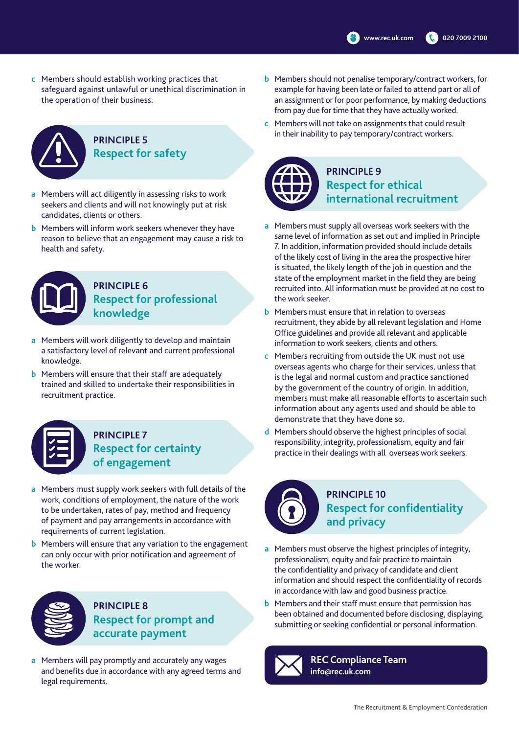**c** Members should establish working practices that safeguard against unlawful or unethical discrimination in the operation of their business.



#### **PRINCIPLE 5 Respect for safety**

- **a** Members will act diligently in assessing risks to work seekers and clients and will not knowingly put at risk candidates, clients or others.
- **b** Members will inform work seekers whenever they have reason to believe that an engagement may cause a risk to health and safety.



#### **PRINCIPLE 6 Respect for professional knowledge**

- **a** Members will work diligently to develop and maintain a satisfactory level of relevant and current professional knowledge.
- **b** Members will ensure that their staff are adequately trained and skilled to undertake their responsibilities in recruitment practice.

#### **PRINCIPLE 7 Respect for certainty of engagement**

- **a** Members must supply work seekers with full details of the work, conditions of employment, the nature of the work to be undertaken, rates of pay, method and frequency of payment and pay arrangements in accordance with requirements of current legislation.
- **b** Members will ensure that any variation to the engagement can only occur with prior notification and agreement of the worker.



**PRINCIPLE 8 Respect for prompt and accurate payment**

**a** Members will pay promptly and accurately any wages and benefits due in accordance with any agreed terms and legal requirements.

- **b** Members should not penalise temporary/contract workers, for example for having been late or failed to attend part or all of an assignment or for poor performance, by making deductions from pay due for time that they have actually worked.
- **c** Members will not take on assignments that could result in their inability to pay temporary/contract workers.



#### **PRINCIPLE 9 Respect for ethical international recruitment**

- **a** Members must supply all overseas work seekers with the same level of information as set out and implied in Principle 7. In addition, information provided should include details of the likely cost of living in the area the prospective hirer is situated, the likely length of the job in question and the state of the employment market in the field they are being recruited into. All information must be provided at no cost to the work seeker.
- **b** Members must ensure that in relation to overseas recruitment, they abide by all relevant legislation and Home Office guidelines and provide all relevant and applicable information to work seekers, clients and others.
- **c** Members recruiting from outside the UK must not use overseas agents who charge for their services, unless that is the legal and normal custom and practice sanctioned by the government of the country of origin. In addition, members must make all reasonable efforts to ascertain such information about any agents used and should be able to demonstrate that they have done so.
- **d** Members should observe the highest principles of social responsibility, integrity, professionalism, equity and fair practice in their dealings with all overseas work seekers.



## **PRINCIPLE 10 Respect for confidentiality and privacy**

- **a** Members must observe the highest principles of integrity, professionalism, equity and fair practice to maintain the confidentiality and privacy of candidate and client information and should respect the confidentiality of records in accordance with law and good business practice.
- **b** Members and their staff must ensure that permission has been obtained and documented before disclosing, displaying, submitting or seeking confidential or personal information.



**REC Compliance Team info@rec.uk.com**